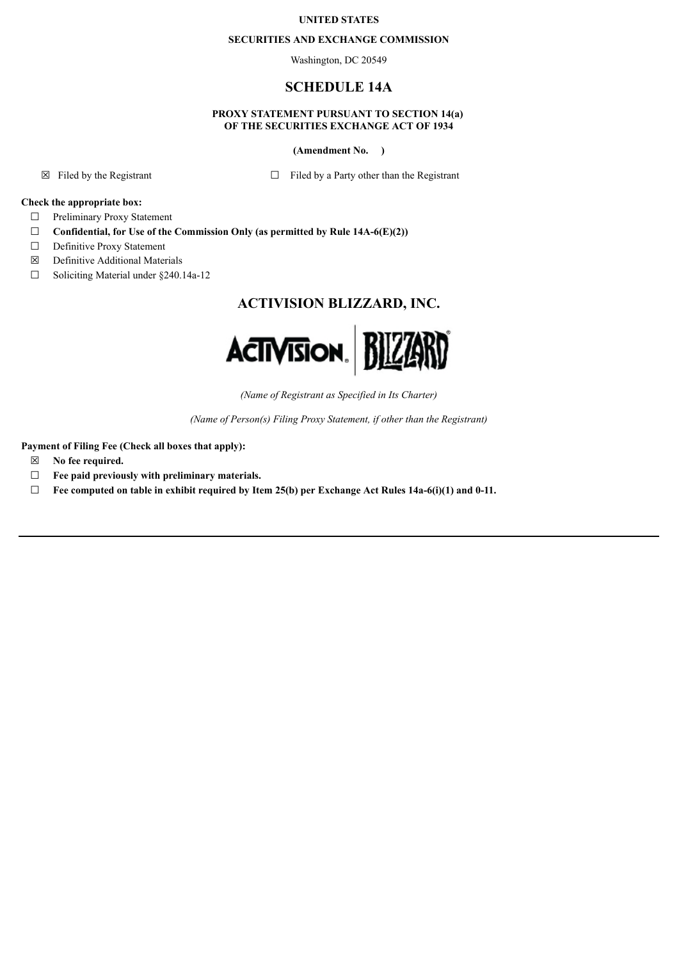## **UNITED STATES**

#### **SECURITIES AND EXCHANGE COMMISSION**

Washington, DC 20549

## **SCHEDULE 14A**

### **PROXY STATEMENT PURSUANT TO SECTION 14(a) OF THE SECURITIES EXCHANGE ACT OF 1934**

**(Amendment No. )**

 $\boxtimes$  Filed by the Registrant  $\Box$  Filed by a Party other than the Registrant

## **Check the appropriate box:**

- ☐ Preliminary Proxy Statement
- ☐ **Confidential, for Use of the Commission Only (as permitted by Rule 14A-6(E)(2))**
- □ Definitive Proxy Statement
- ☒ Definitive Additional Materials
- ☐ Soliciting Material under §240.14a-12

# **ACTIVISION BLIZZARD, INC.**



*(Name of Registrant as Specified in Its Charter)*

*(Name of Person(s) Filing Proxy Statement, if other than the Registrant)*

**Payment of Filing Fee (Check all boxes that apply):**

- ☒ **No fee required.**
- ☐ **Fee paid previously with preliminary materials.**
- ☐ **Fee computed on table in exhibit required by Item 25(b) per Exchange Act Rules 14a-6(i)(1) and 0-11.**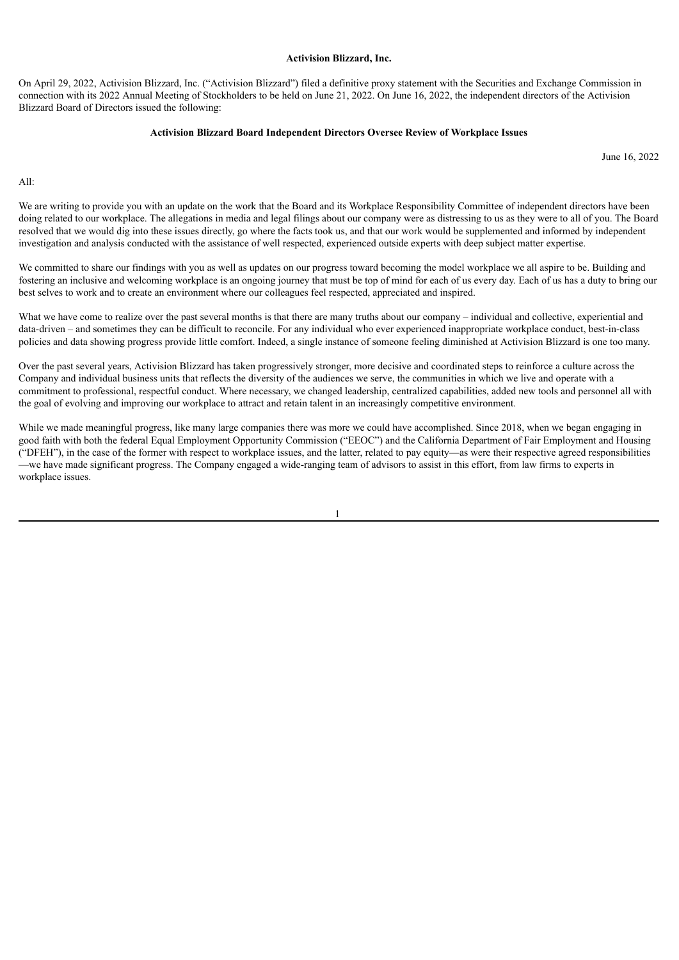#### **Activision Blizzard, Inc.**

On April 29, 2022, Activision Blizzard, Inc. ("Activision Blizzard") filed a definitive proxy statement with the Securities and Exchange Commission in connection with its 2022 Annual Meeting of Stockholders to be held on June 21, 2022. On June 16, 2022, the independent directors of the Activision Blizzard Board of Directors issued the following:

#### **Activision Blizzard Board Independent Directors Oversee Review of Workplace Issues**

June 16, 2022

 $\Delta$ 11 $\cdot$ 

We are writing to provide you with an update on the work that the Board and its Workplace Responsibility Committee of independent directors have been doing related to our workplace. The allegations in media and legal filings about our company were as distressing to us as they were to all of you. The Board resolved that we would dig into these issues directly, go where the facts took us, and that our work would be supplemented and informed by independent investigation and analysis conducted with the assistance of well respected, experienced outside experts with deep subject matter expertise.

We committed to share our findings with you as well as updates on our progress toward becoming the model workplace we all aspire to be. Building and fostering an inclusive and welcoming workplace is an ongoing journey that must be top of mind for each of us every day. Each of us has a duty to bring our best selves to work and to create an environment where our colleagues feel respected, appreciated and inspired.

What we have come to realize over the past several months is that there are many truths about our company – individual and collective, experiential and data-driven – and sometimes they can be difficult to reconcile. For any individual who ever experienced inappropriate workplace conduct, best-in-class policies and data showing progress provide little comfort. Indeed, a single instance of someone feeling diminished at Activision Blizzard is one too many.

Over the past several years, Activision Blizzard has taken progressively stronger, more decisive and coordinated steps to reinforce a culture across the Company and individual business units that reflects the diversity of the audiences we serve, the communities in which we live and operate with a commitment to professional, respectful conduct. Where necessary, we changed leadership, centralized capabilities, added new tools and personnel all with the goal of evolving and improving our workplace to attract and retain talent in an increasingly competitive environment.

While we made meaningful progress, like many large companies there was more we could have accomplished. Since 2018, when we began engaging in good faith with both the federal Equal Employment Opportunity Commission ("EEOC") and the California Department of Fair Employment and Housing ("DFEH"), in the case of the former with respect to workplace issues, and the latter, related to pay equity—as were their respective agreed responsibilities —we have made significant progress. The Company engaged a wide-ranging team of advisors to assist in this effort, from law firms to experts in workplace issues.

1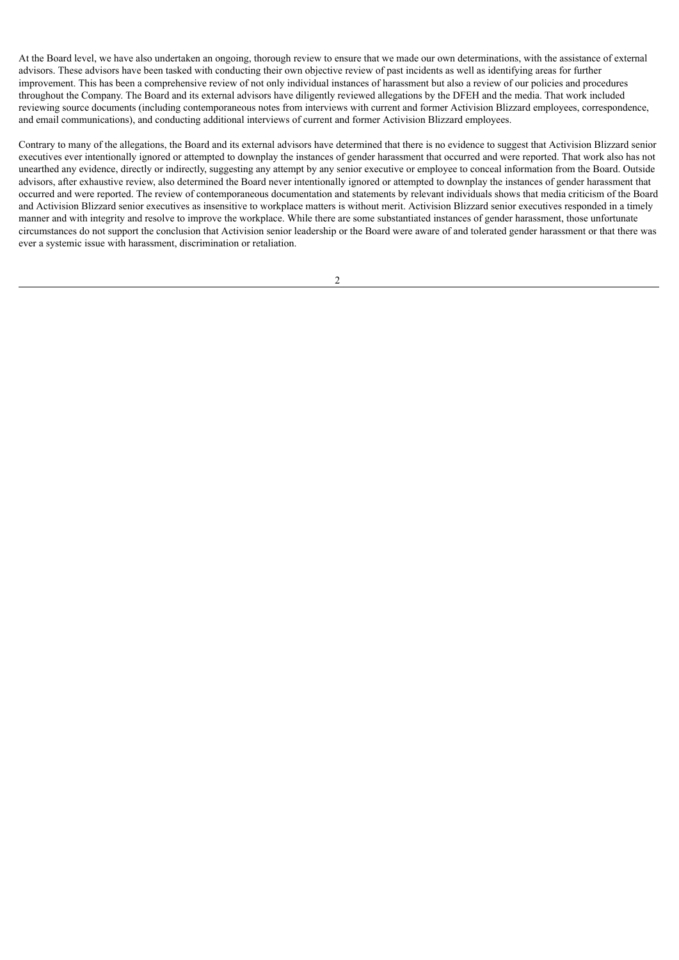At the Board level, we have also undertaken an ongoing, thorough review to ensure that we made our own determinations, with the assistance of external advisors. These advisors have been tasked with conducting their own objective review of past incidents as well as identifying areas for further improvement. This has been a comprehensive review of not only individual instances of harassment but also a review of our policies and procedures throughout the Company. The Board and its external advisors have diligently reviewed allegations by the DFEH and the media. That work included reviewing source documents (including contemporaneous notes from interviews with current and former Activision Blizzard employees, correspondence, and email communications), and conducting additional interviews of current and former Activision Blizzard employees.

Contrary to many of the allegations, the Board and its external advisors have determined that there is no evidence to suggest that Activision Blizzard senior executives ever intentionally ignored or attempted to downplay the instances of gender harassment that occurred and were reported. That work also has not unearthed any evidence, directly or indirectly, suggesting any attempt by any senior executive or employee to conceal information from the Board. Outside advisors, after exhaustive review, also determined the Board never intentionally ignored or attempted to downplay the instances of gender harassment that occurred and were reported. The review of contemporaneous documentation and statements by relevant individuals shows that media criticism of the Board and Activision Blizzard senior executives as insensitive to workplace matters is without merit. Activision Blizzard senior executives responded in a timely manner and with integrity and resolve to improve the workplace. While there are some substantiated instances of gender harassment, those unfortunate circumstances do not support the conclusion that Activision senior leadership or the Board were aware of and tolerated gender harassment or that there was ever a systemic issue with harassment, discrimination or retaliation.

2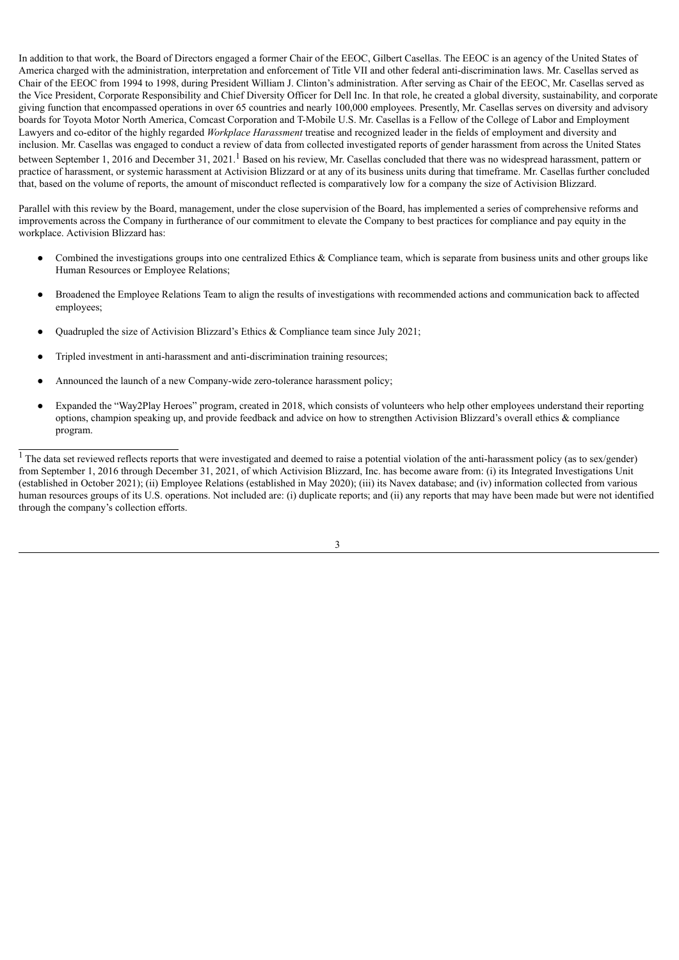In addition to that work, the Board of Directors engaged a former Chair of the EEOC, Gilbert Casellas. The EEOC is an agency of the United States of America charged with the administration, interpretation and enforcement of Title VII and other federal anti-discrimination laws. Mr. Casellas served as Chair of the EEOC from 1994 to 1998, during President William J. Clinton's administration. After serving as Chair of the EEOC, Mr. Casellas served as the Vice President, Corporate Responsibility and Chief Diversity Officer for Dell Inc. In that role, he created a global diversity, sustainability, and corporate giving function that encompassed operations in over 65 countries and nearly 100,000 employees. Presently, Mr. Casellas serves on diversity and advisory boards for Toyota Motor North America, Comcast Corporation and T-Mobile U.S. Mr. Casellas is a Fellow of the College of Labor and Employment Lawyers and co-editor of the highly regarded *Workplace Harassment* treatise and recognized leader in the fields of employment and diversity and inclusion. Mr. Casellas was engaged to conduct a review of data from collected investigated reports of gender harassment from across the United States between September 1, 2016 and December 31, 2021.<sup>1</sup> Based on his review, Mr. Casellas concluded that there was no widespread harassment, pattern or practice of harassment, or systemic harassment at Activision Blizzard or at any of its business units during that timeframe. Mr. Casellas further concluded that, based on the volume of reports, the amount of misconduct reflected is comparatively low for a company the size of Activision Blizzard.

Parallel with this review by the Board, management, under the close supervision of the Board, has implemented a series of comprehensive reforms and improvements across the Company in furtherance of our commitment to elevate the Company to best practices for compliance and pay equity in the workplace. Activision Blizzard has:

- Combined the investigations groups into one centralized Ethics & Compliance team, which is separate from business units and other groups like Human Resources or Employee Relations;
- Broadened the Employee Relations Team to align the results of investigations with recommended actions and communication back to affected employees;
- Ouadrupled the size of Activision Blizzard's Ethics  $\&$  Compliance team since July 2021;
- Tripled investment in anti-harassment and anti-discrimination training resources;
- Announced the launch of a new Company-wide zero-tolerance harassment policy;
- Expanded the "Way2Play Heroes" program, created in 2018, which consists of volunteers who help other employees understand their reporting options, champion speaking up, and provide feedback and advice on how to strengthen Activision Blizzard's overall ethics & compliance program.

<sup>&</sup>lt;sup>1</sup> The data set reviewed reflects reports that were investigated and deemed to raise a potential violation of the anti-harassment policy (as to sex/gender) from September 1, 2016 through December 31, 2021, of which Activision Blizzard, Inc. has become aware from: (i) its Integrated Investigations Unit (established in October 2021); (ii) Employee Relations (established in May 2020); (iii) its Navex database; and (iv) information collected from various human resources groups of its U.S. operations. Not included are: (i) duplicate reports; and (ii) any reports that may have been made but were not identified through the company's collection efforts.

<sup>3</sup>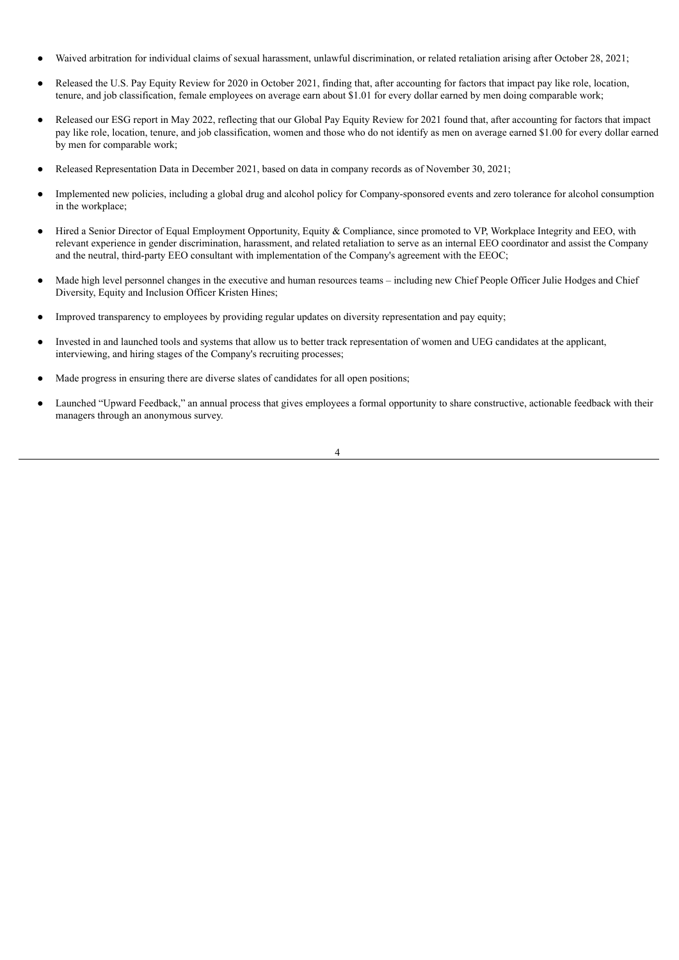- Waived arbitration for individual claims of sexual harassment, unlawful discrimination, or related retaliation arising after October 28, 2021;
- Released the U.S. Pay Equity Review for 2020 in October 2021, finding that, after accounting for factors that impact pay like role, location, tenure, and job classification, female employees on average earn about \$1.01 for every dollar earned by men doing comparable work;
- Released our ESG report in May 2022, reflecting that our Global Pay Equity Review for 2021 found that, after accounting for factors that impact pay like role, location, tenure, and job classification, women and those who do not identify as men on average earned \$1.00 for every dollar earned by men for comparable work;
- Released Representation Data in December 2021, based on data in company records as of November 30, 2021;
- Implemented new policies, including a global drug and alcohol policy for Company-sponsored events and zero tolerance for alcohol consumption in the workplace;
- Hired a Senior Director of Equal Employment Opportunity, Equity & Compliance, since promoted to VP, Workplace Integrity and EEO, with relevant experience in gender discrimination, harassment, and related retaliation to serve as an internal EEO coordinator and assist the Company and the neutral, third-party EEO consultant with implementation of the Company's agreement with the EEOC;
- Made high level personnel changes in the executive and human resources teams including new Chief People Officer Julie Hodges and Chief Diversity, Equity and Inclusion Officer Kristen Hines;
- Improved transparency to employees by providing regular updates on diversity representation and pay equity;
- Invested in and launched tools and systems that allow us to better track representation of women and UEG candidates at the applicant, interviewing, and hiring stages of the Company's recruiting processes;
- Made progress in ensuring there are diverse slates of candidates for all open positions;
- Launched "Upward Feedback," an annual process that gives employees a formal opportunity to share constructive, actionable feedback with their managers through an anonymous survey.